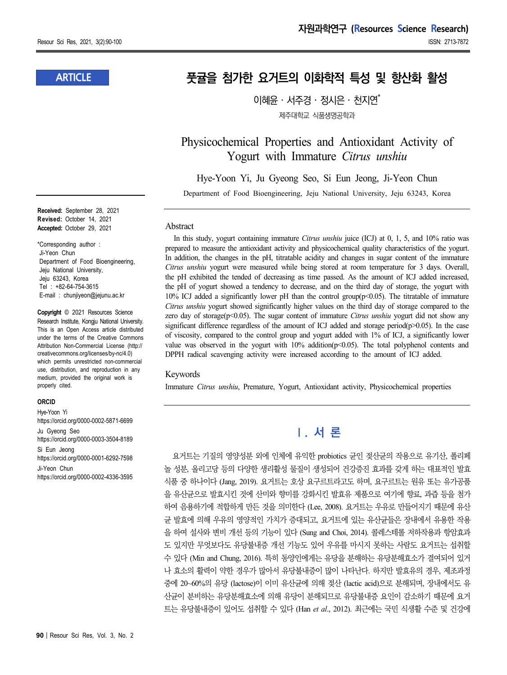### **ARTICLE**

**Received:** September 28, 2021 **Revised:** October 14, 2021 **Accepted:** October 29, 2021

\*Corresponding author : Ji-Yeon Chun Department of Food Bioengineering, Jeju National University, Jeju 63243, Korea Tel : +82-64-754-3615 E-mail : chunjiyeon@jejunu.ac.kr

**Copyright** © 2021 Resources Science Research Institute, Kongju National University. This is an Open Access article distributed under the terms of the Creative Commons Attribution Non-Commercial License (http:// creativecommons.org/licenses/by-nc/4.0) which permits unrestricted non-commercial use, distribution, and reproduction in any medium, provided the original work is properly cited.

#### **ORCID**

Hye-Yoon Yi https://orcid.org/0000-0002-5871-6699 Ju Gyeong Seo https://orcid.org/0000-0003-3504-8189 Si Eun Jeong https://orcid.org/0000-0001-6292-7598 Ji-Yeon Chun https://orcid.org/0000-0002-4336-3595

# **풋귤을 첨가한 요거트의 이화학적 특성 및 항산화 활성**

 $0$ 혜유·서주경 · 정시은 · 천지연 $*$ 제주대학교 식품생명공학과

Physicochemical Properties and Antioxidant Activity of Yogurt with Immature *Citrus unshiu*

Hye-Yoon Yi, Ju Gyeong Seo, Si Eun Jeong, Ji-Yeon Chun

Department of Food Bioengineering, Jeju National University, Jeju 63243, Korea

#### Abstract

In this study, yogurt containing immature *Citrus unshiu* juice (ICJ) at 0, 1, 5, and 10% ratio was prepared to measure the antioxidant activity and physicochemical quality characteristics of the yogurt. In addition, the changes in the pH, titratable acidity and changes in sugar content of the immature *Citrus unshiu* yogurt were measured while being stored at room temperature for 3 days. Overall, the pH exhibited the tended of decreasing as time passed. As the amount of ICJ added increased, the pH of yogurt showed a tendency to decrease, and on the third day of storage, the yogurt with 10% ICJ added a significantly lower pH than the control group(p<0.05). The titratable of immature *Citrus unshiu* yogurt showed significantly higher values on the third day of storage compared to the zero day of storage(p<0.05). The sugar content of immature *Citrus unshiu* yogurt did not show any significant difference regardless of the amount of ICJ added and storage period( $p$  $> 0.05$ ). In the case of viscosity, compared to the control group and yogurt added with 1% of ICJ, a significantly lower value was observed in the yogurt with  $10\%$  addition( $p<0.05$ ). The total polyphenol contents and DPPH radical scavenging activity were increased according to the amount of ICJ added.

#### Keywords

Immature *Citrus unshiu*, Premature, Yogurt, Antioxidant activity, Physicochemical properties

# **Ⅰ. 서 론**

요거트는 기질의 영양성분 외에 인체에 유익한 probiotics 균인 젖산균의 작용으로 유기산, 폴리페 놀 성분, 올리고당 등의 다양한 생리활성 물질이 생성되어 건강증진 효과를 갖게 하는 대표적인 발효 식품 중 하나이다 (Jang, 2019). 요거트는 호상 요구르트라고도 하며, 요구르트는 원유 또는 유가공품 을 유산균으로 발효시킨 것에 산미와 향미를 강화시킨 발효유 제품으로 여기에 향료, 과즙 등을 첨가 하여 음용하기에 적합하게 만든 것을 의미한다 (Lee, 2008). 요거트는 우유로 만들어지기 때문에 유산 균 발효에 의해 우유의 영양적인 가치가 증대되고, 요거트에 있는 유산균들은 장내에서 유용한 작용 을 하여 설사와 변비 개선 등의 기능이 있다 (Sung and Choi, 2014). 콜레스테롤 저하작용과 항암효과 도 있지만 무엇보다도 유당불내증 개선 기능도 있어 우유를 마시지 못하는 사람도 요거트는 섭취할 수 있다 (Min and Chung, 2016). 특히 동양인에게는 유당을 분해하는 유당분해효소가 결여되어 있거 나 효소의 활력이 약한 경우가 많아서 유당불내증이 많이 나타난다. 하지만 발효유의 경우, 제조과정 중에 20~60%의 유당 (lactose)이 이미 유산균에 의해 젖산 (lactic acid)으로 분해되며, 장내에서도 유 산균이 분비하는 유당분해효소에 의해 유당이 분해되므로 유당불내증 요인이 감소하기 때문에 요거 트는 유당불내증이 있어도 섭취할 수 있다 (Han *et al*., 2012). 최근에는 국민 식생활 수준 및 건강에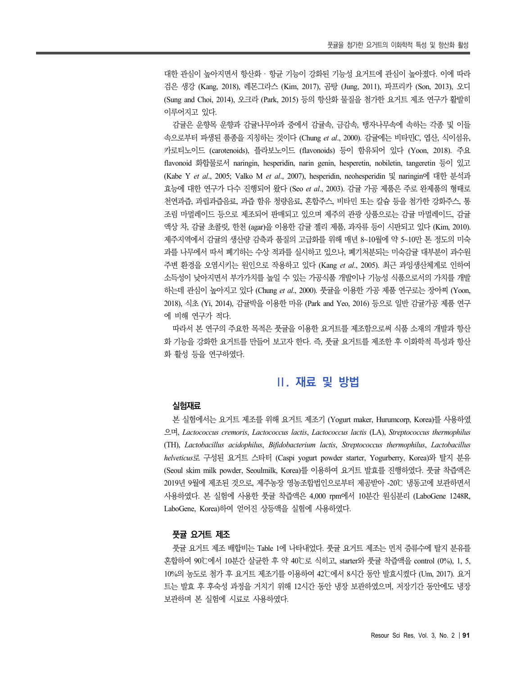대한 관심이 높아지면서 항산화 · 항균 기능이 강화된 기능성 요거트에 관심이 높아졌다. 이에 따라 검은 생강 (Kang, 2018), 레몬그라스 (Kim, 2017), 곰탕 (Jung, 2011), 파프리카 (Son, 2013), 오디 (Sung and Choi, 2014), 오크라 (Park, 2015) 등의 항산화 물질을 첨가한 요거트 제조 연구가 활발히 이루어지고 있다.

감귤은 운향목 운향과 감귤나무아과 중에서 감귤속, 금감속, 탱자나무속에 속하는 각종 및 이들 속으로부터 파생된 품종을 지칭하는 것이다 (Chung *et al*., 2000). 감귤에는 비타민C, 엽산, 식이섬유, 카로티노이드 (carotenoids), 플라보노이드 (flavonoids) 등이 함유되어 있다 (Yoon, 2018). 주요 flavonoid 화합물로서 naringin, hesperidin, narin genin, hesperetin, nobiletin, tangeretin 등이 있고 (Kabe Y *et al*., 2005; Valko M *et al*., 2007), hesperidin, neohesperidin 및 naringin에 대한 분석과 효능에 대한 연구가 다수 진행되어 왔다 (Seo *et al*., 2003). 감귤 가공 제품은 주로 완제품의 형태로 천연과즙, 과립과즙음료, 과즙 함유 청량음료, 혼합주스, 비타민 또는 칼슘 등을 첨가한 강화주스, 통 조림 마멀레이드 등으로 제조되어 판매되고 있으며 제주의 관광 상품으로는 감귤 마멀레이드, 감귤 액상 차, 감귤 초콜릿, 한천 (agar)을 이용한 감귤 젤리 제품, 과자류 등이 시판되고 있다 (Kim, 2010). 제주지역에서 감귤의 생산량 감축과 품질의 고급화를 위해 매년 8~10월에 약 5~10만 톤 정도의 미숙 과를 나무에서 따서 폐기하는 수상 적과를 실시하고 있으나, 폐기처분되는 미숙감귤 대부분이 과수원 주변 환경을 오염시키는 원인으로 작용하고 있다 (Kang *et al*., 2005). 최근 과잉생산체계로 인하여 소득성이 낮아지면서 부가가치를 높일 수 있는 가공식품 개발이나 기능성 식품으로서의 가치를 개발 하는데 관심이 높아지고 있다 (Chung *et al*., 2000). 풋귤을 이용한 가공 제품 연구로는 장아찌 (Yoon, 2018), 식초 (Yi, 2014), 감귤박을 이용한 마유 (Park and Yeo, 2016) 등으로 일반 감귤가공 제품 연구 에 비해 연구가 적다.

따라서 본 연구의 주요한 목적은 풋귤을 이용한 요거트를 제조함으로써 식품 소재의 개발과 항산 화 기능을 강화한 요거트를 만들어 보고자 한다. 즉, 풋귤 요거트를 제조한 후 이화학적 특성과 항산 화 활성 등을 연구하였다.

# **Ⅱ. 재료 및 방법**

#### **실험재료**

본 실험에서는 요거트 제조를 위해 요거트 제조기 (Yogurt maker, Hurumcorp, Korea)를 사용하였 으며, *Lactococcus cremoris*, *Lactococcus lactis*, *Lactococcus lactis* (LA), *Streptococcus thermophilus* (TH), *Lactobacillus acidophilus*, *Bifidobacterium lactis*, *Streptococcus thermophilus*, *Lactobacillus helveticus*로 구성된 요거트 스타터 (Caspi yogurt powder starter, Yogurberry, Korea)와 탈지 분유 (Seoul skim milk powder, Seoulmilk, Korea)를 이용하여 요거트 발효를 진행하였다. 풋귤 착즙액은 2019년 9월에 제조된 것으로, 제주농장 영농조합법인으로부터 제공받아 -20℃ 냉동고에 보관하면서 사용하였다. 본 실험에 사용한 풋귤 착즙액은 4,000 rpm에서 10분간 원심분리 (LaboGene 1248R, LaboGene, Korea)하여 얻어진 상등액을 실험에 사용하였다.

#### **풋귤 요거트 제조**

풋귤 요거트 제조 배합비는 Table 1에 나타내었다. 풋귤 요거트 제조는 먼저 증류수에 탈지 분유를 혼합하여 90℃에서 10분간 살균한 후 약 40℃로 식히고, starter와 풋귤 착즙액을 control (0%), 1, 5, 10%의 농도로 첨가 후 요거트 제조기를 이용하여 42℃에서 8시간 동안 발효시켰다 (Um, 2017). 요거 트는 발효 후 후숙성 과정을 거치기 위해 12시간 동안 냉장 보관하였으며, 저장기간 동안에도 냉장 보관하며 본 실험에 시료로 사용하였다.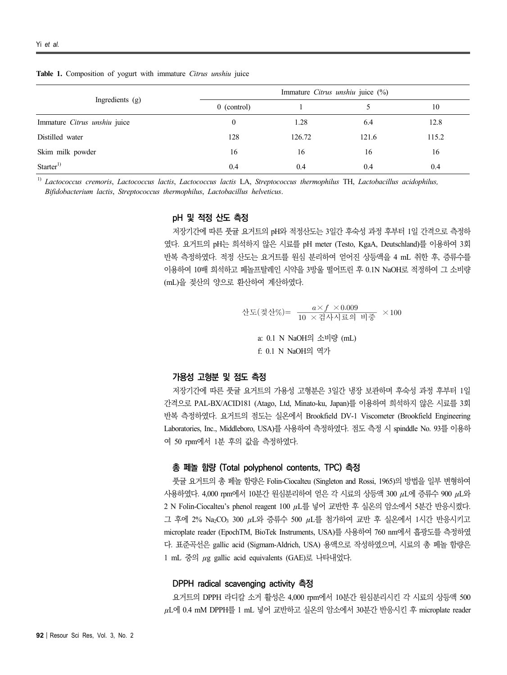#### **Table 1.** Composition of yogurt with immature *Citrus unshiu* juice

| Ingredients (g)              | Immature Citrus unshiu juice (%) |        |       |       |
|------------------------------|----------------------------------|--------|-------|-------|
|                              | $0$ (control)                    |        |       | 10    |
| Immature Citrus unshiu juice |                                  | 1.28   | 6.4   | 12.8  |
| Distilled water              | 128                              | 126.72 | 121.6 | 115.2 |
| Skim milk powder             | 16                               | 16     | 16    | 16    |
| Starter <sup>1)</sup>        | 0.4                              | 0.4    | 0.4   | 0.4   |

1) *Lactococcus cremoris*, *Lactococcus lactis*, *Lactococcus lactis* LA, *Streptococcus thermophilus* TH, *Lactobacillus acidophilus, Bifidobacterium lactis*, *Streptococcus thermophilus*, *Lactobacillus helveticus*.

#### **pH 및 적정 산도 측정**

저장기간에 따른 풋귤 요거트의 pH와 적정산도는 3일간 후숙성 과정 후부터 1일 간격으로 측정하 였다. 요거트의 pH는 희석하지 않은 시료를 pH meter (Testo, KgaA, Deutschland)를 이용하여 3회 반복 측정하였다. 적정 산도는 요거트를 원심 분리하여 얻어진 상등액을 4 mL 취한 후, 증류수를 이용하여 10배 희석하고 페놀프탈레인 시약을 3방울 떨어뜨린 후 0.1N NaOH로 적정하여 그 소비량 (mL)을 젖산의 양으로 환산하여 계산하였다. xs helveticus.<br>**정**<br>요거트의 pH와 적정산도는 3일간 후숙성 과정 후부터 1일 간격으로 측정하<br><sup>넘하지</sup> 않은 시료를 pH meter (Testo, KgaA, Deutschland)를 이용하여 3회<br>도는 요거트를 원심 분리하여 얻어진 상등액을 4 mL 취한 후, <del>증류수를</del><br>메놀프탈레인 시약을 3방울 떨어뜨린 후 0.1N NaOH로 적정하여 그 소비량<br><br>산도(젖산%)=  $\frac{a$ 

산도(정산%)=
$$
\frac{a \times f \times 0.009}{10 \times d \times h \times 100}
$$
  $a: 0.1$  N NaOH의 소비량 (mL)  
f: 0.1 N NaOH의 역사

#### **가용성 고형분 및 점도 측정**

저장기간에 따른 풋귤 요거트의 가용성 고형분은 3일간 냉장 보관하며 후숙성 과정 후부터 1일 간격으로 PAL-BX/ACID181 (Atago, Ltd, Minato-ku, Japan)를 이용하여 희석하지 않은 시료를 3회 반복 측정하였다. 요거트의 점도는 실온에서 Brookfield DV-1 Viscometer (Brookfield Engineering Laboratories, Inc., Middleboro, USA)를 사용하여 측정하였다. 점도 측정 시 spinddle No. 93를 이용하 여 50 rpm에서 1분 후의 값을 측정하였다.

#### **총 페놀 함량 (Total polyphenol contents, TPC) 측정**

풋귤 요거트의 총 페놀 함량은 Folin-Ciocalteu (Singleton and Rossi, 1965)의 방법을 일부 변형하여 사용하였다. 4,000 rpm에서 10분간 원심분리하여 얻은 각 시료의 상등액 300 μL에 증류수 900 μL와 2 N Folin-Ciocalteu's phenol reagent 100 μL를 넣어 교반한 후 실온의 암소에서 5분간 반응시켰다. 그 후에 2% Na2CO<sup>3</sup> 300 μL와 증류수 500 μL를 첨가하여 교반 후 실온에서 1시간 반응시키고 microplate reader (EpochTM, BioTek Instruments, USA)를 사용하여 760 nm에서 흡광도를 측정하였 다. 표준곡선은 gallic acid (Sigmam-Aldrich, USA) 용액으로 작성하였으며, 시료의 총 페놀 함량은 1 mL 중의 μg gallic acid equivalents (GAE)로 나타내었다.

#### **DPPH radical scavenging activity 측정**

요거트의 DPPH 라디칼 소거 활성은 4,000 rpm에서 10분간 원심분리시킨 각 시료의 상등액 500 μL에 0.4 mM DPPH를 1 mL 넣어 교반하고 실온의 암소에서 30분간 반응시킨 후 microplate reader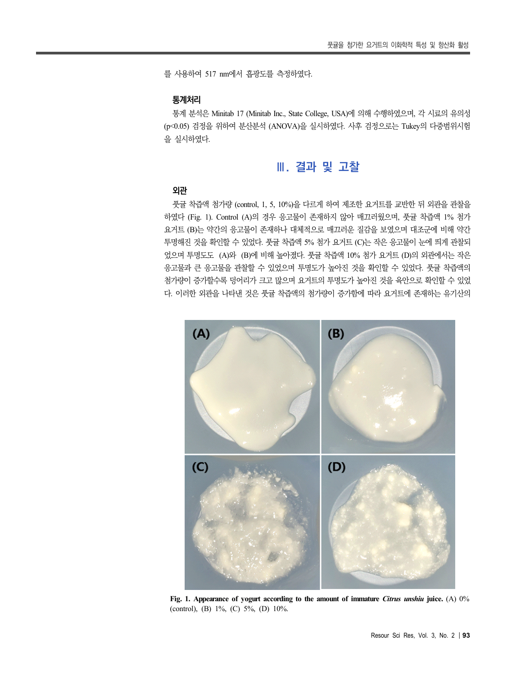를 사용하여 517 nm에서 흡광도를 측정하였다.

#### **통계처리**

통계 분석은 Minitab 17 (Minitab Inc., State College, USA)에 의해 수행하였으며, 각 시료의 유의성 (p<0.05) 검정을 위하여 분산분석 (ANOVA)을 실시하였다. 사후 검정으로는 Tukey의 다중범위시험 을 실시하였다.

## **Ⅲ. 결과 및 고찰**

#### **외관**

풋귤 착즙액 첨가량 (control, 1, 5, 10%)을 다르게 하여 제조한 요거트를 교반한 뒤 외관을 관찰을 하였다 (Fig. 1). Control (A)의 경우 응고물이 존재하지 않아 매끄러웠으며, 풋귤 착즙액 1% 첨가 요거트 (B)는 약간의 응고물이 존재하나 대체적으로 매끄러운 질감을 보였으며 대조군에 비해 약간 투명해진 것을 확인할 수 있었다. 풋귤 착즙액 5% 첨가 요거트 (C)는 작은 응고물이 눈에 띄게 관찰되 었으며 투명도도 (A)와 (B)에 비해 높아졌다. 풋귤 착즙액 10% 첨가 요거트 (D)의 외관에서는 작은 응고물과 큰 응고물을 관찰할 수 있었으며 투명도가 높아진 것을 확인할 수 있었다. 풋귤 착즙액의 첨가량이 증가할수록 덩어리가 크고 많으며 요거트의 투명도가 높아진 것을 육안으로 확인할 수 있었 다. 이러한 외관을 나타낸 것은 풋귤 착즙액의 첨가량이 증가함에 따라 요거트에 존재하는 유기산의



**Fig. 1. Appearance of yogurt according to the amount of immature** *Citrus unshiu* **juice.** (A) 0% (control), (B) 1%, (C) 5%, (D) 10%.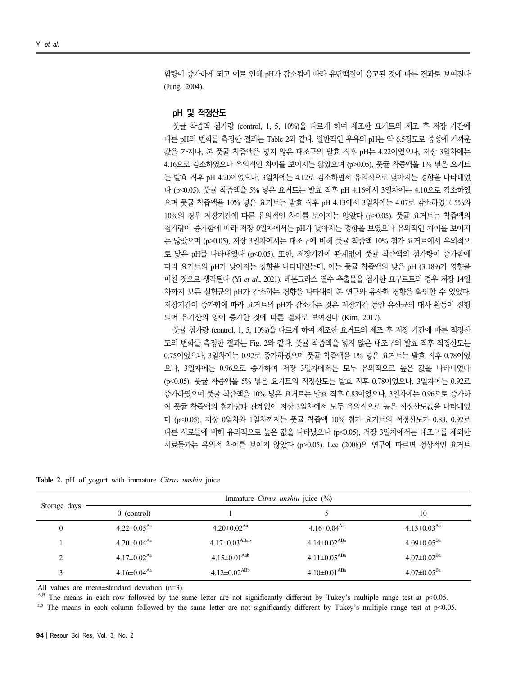함량이 증가하게 되고 이로 인해 pH가 감소됨에 따라 유단백질이 응고된 것에 따른 결과로 보여진다 (Jung, 2004).

#### **pH 및 적정산도**

풋귤 착즙액 첨가량 (control, 1, 5, 10%)을 다르게 하여 제조한 요거트의 제조 후 저장 기간에 따른 pH의 변화를 측정한 결과는 Table 2와 같다. 일반적인 우유의 pH는 약 6.5정도로 중성에 가까운 값을 가지나, 본 풋귤 착즙액을 넣지 않은 대조구의 발효 직후 pH는 4.22이었으나, 저장 3일차에는 4.16으로 감소하였으나 유의적인 차이를 보이지는 않았으며 (p>0.05), 풋귤 착즙액을 1% 넣은 요거트 는 발효 직후 pH 4.20이었으나, 3일차에는 4.12로 감소하면서 유의적으로 낮아지는 경향을 나타내었 다 (p<0.05). 풋귤 착즙액을 5% 넣은 요거트는 발효 직후 pH 4.16에서 3일차에는 4.10으로 감소하였 으며 풋귤 착즙액을 10% 넣은 요거트는 발효 직후 pH 4.13에서 3일차에는 4.07로 감소하였고 5%와 10%의 경우 저장기간에 따른 유의적인 차이를 보이지는 않았다 (p>0.05). 풋귤 요거트는 착즙액의 첨가량이 증가함에 따라 저장 0일차에서는 pH가 낮아지는 경향을 보였으나 유의적인 차이를 보이지 는 않았으며 (p>0.05), 저장 3일차에서는 대조구에 비해 풋귤 착즙액 10% 첨가 요거트에서 유의적으 로 낮은 pH를 나타내었다 (p<0.05). 또한, 저장기간에 관계없이 풋귤 착즙액의 첨가량이 증가함에 따라 요거트의 pH가 낮아지는 경향을 나타내었는데, 이는 풋귤 착즙액의 낮은 pH (3.189)가 영향을 미친 것으로 생각된다 (Yi *et al*., 2021). 레몬그라스 열수 추출물을 첨가한 요구르트의 경우 저장 14일 차까지 모든 실험군의 pH가 감소하는 경향을 나타내어 본 연구와 유사한 경향을 확인할 수 있었다. 저장기간이 증가함에 따라 요거트의 pH가 감소하는 것은 저장기간 동안 유산균의 대사 활동이 진행 되어 유기산의 양이 증가한 것에 따른 결과로 보여진다 (Kim, 2017).

풋귤 첨가량 (control, 1, 5, 10%)을 다르게 하여 제조한 요거트의 제조 후 저장 기간에 따른 적정산 도의 변화를 측정한 결과는 Fig. 2와 같다. 풋귤 착즙액을 넣지 않은 대조구의 발효 직후 적정산도는 0.75이었으나, 3일차에는 0.92로 증가하였으며 풋귤 착즙액을 1% 넣은 요거트는 발효 직후 0.78이었 으나, 3일차에는 0.96으로 증가하여 저장 3일차에서는 모두 유의적으로 높은 값을 나타내었다 (p<0.05). 풋귤 착즙액을 5% 넣은 요거트의 적정산도는 발효 직후 0.78이었으나, 3일차에는 0.92로 증가하였으며 풋귤 착즙액을 10% 넣은 요거트는 발효 직후 0.83이었으나, 3일차에는 0.96으로 증가하 여 풋귤 착즙액의 첨가량과 관계없이 저장 3일차에서 모두 유의적으로 높은 적정산도값을 나타내었 다 (p<0.05). 저장 0일차와 1일차까지는 풋귤 착즙액 10% 첨가 요거트의 적정산도가 0.83, 0.92로 다른 시료들에 비해 유의적으로 높은 값을 나타났으나 (p<0.05), 저장 3일차에서는 대조구를 제외한 시료들과는 유의적 차이를 보이지 않았다 (p>0.05). Lee (2008)의 연구에 따르면 정상적인 요거트

**Table 2.** pH of yogurt with immature *Citrus unshiu* juice

| Storage days | Immature <i>Citrus unshiu</i> juice $(\%)$ |                                 |                                |                               |  |  |
|--------------|--------------------------------------------|---------------------------------|--------------------------------|-------------------------------|--|--|
|              | $0$ (control)                              |                                 |                                | 10                            |  |  |
| 0            | $4.22 \pm 0.05$ <sup>Aa</sup>              | $4.20 \pm 0.02$ <sup>Aa</sup>   | $4.16 \pm 0.04$ <sup>Aa</sup>  | $4.13 \pm 0.03$ <sup>Aa</sup> |  |  |
|              | $4.20 \pm 0.04$ <sup>Aa</sup>              | $4.17 \pm 0.03$ <sup>ABab</sup> | $4.14 \pm 0.02$ <sup>ABa</sup> | $4.09 \pm 0.05^{Ba}$          |  |  |
|              | $4.17 \pm 0.02$ <sup>Aa</sup>              | $4.15 \pm 0.01^{Aab}$           | $4.11 \pm 0.05$ <sup>ABa</sup> | $4.07 \pm 0.02^\mathrm{Ba}$   |  |  |
|              | 4.16 $\pm$ 0.04 <sup>Aa</sup>              | $4.12\pm0.02^{ABb}$             | $4.10\pm0.01^{ABa}$            | $4.07 \pm 0.05^{Ba}$          |  |  |

All values are mean±standard deviation (n=3).

 $A$ ,B The means in each row followed by the same letter are not significantly different by Tukey's multiple range test at p<0.05.

<sup>a,b</sup> The means in each column followed by the same letter are not significantly different by Tukey's multiple range test at  $p<0.05$ .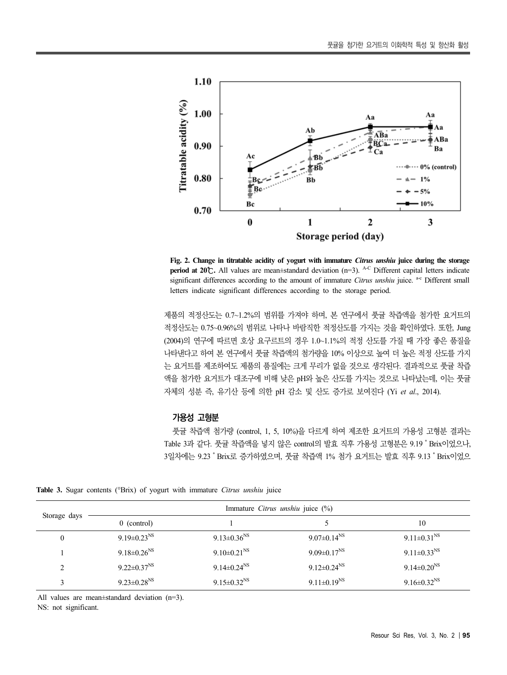

**Fig. 2. Change in titratable acidity of yogurt with immature** *Citrus unshiu* **juice during the storage period at 20℃.** All values are mean±standard deviation (n=3). <sup>A-C</sup> Different capital letters indicate significant differences according to the amount of immature *Citrus unshiu* juice. <sup>a-c</sup> Different small letters indicate significant differences according to the storage period.

제품의 적정산도는 0.7~1.2%의 범위를 가져야 하며, 본 연구에서 풋귤 착즙액을 첨가한 요거트의 적정산도는 0.75~0.96%의 범위로 나타나 바람직한 적정산도를 가지는 것을 확인하였다. 또한, Jung (2004)의 연구에 따르면 호상 요구르트의 경우 1.0~1.1%의 적정 산도를 가질 때 가장 좋은 품질을 나타낸다고 하여 본 연구에서 풋귤 착즙액의 첨가량을 10% 이상으로 높여 더 높은 적정 산도를 가지 는 요거트를 제조하여도 제품의 품질에는 크게 무리가 없을 것으로 생각된다. 결과적으로 풋귤 착즙 액을 첨가한 요거트가 대조구에 비해 낮은 pH와 높은 산도를 가지는 것으로 나타났는데, 이는 풋귤 자체의 성분 즉, 유기산 등에 의한 pH 감소 및 산도 증가로 보여진다 (Yi *et al*., 2014).

#### **가용성 고형분**

풋귤 착즙액 첨가량 (control, 1, 5, 10%)을 다르게 하여 제조한 요거트의 가용성 고형분 결과는 Table 3과 같다. 풋귤 착즙액을 넣지 않은 control의 발효 직후 가용성 고형분은 9.19 ˚Brix이었으나,<br>3일차에는 9.23 ˚Brix로 증가하였으며, 풋귤 착즙액 1% 첨가 요거트는 발효 직후 9.13 ˚Brix이었으

**Table 3.** Sugar contents (°Brix) of yogurt with immature *Citrus unshiu* juice

| Storage days  | Immature Citrus unshiu juice (%) |                               |                               |                               |  |  |
|---------------|----------------------------------|-------------------------------|-------------------------------|-------------------------------|--|--|
|               | $0$ (control)                    |                               |                               | 10                            |  |  |
| $\theta$      | $9.19 \pm 0.23$ <sup>NS</sup>    | $9.13 \pm 0.36$ <sup>NS</sup> | $9.07 \pm 0.14$ <sup>NS</sup> | $9.11 \pm 0.31$ <sup>NS</sup> |  |  |
|               | $9.18 \pm 0.26$ <sup>NS</sup>    | 9.10 $\pm$ 0.21 <sup>NS</sup> | $9.09 \pm 0.17$ <sup>NS</sup> | $9.11 \pm 0.33$ <sup>NS</sup> |  |  |
| $\mathcal{L}$ | $9.22 \pm 0.37$ <sup>NS</sup>    | $9.14 \pm 0.24$ <sup>NS</sup> | $9.12 \pm 0.24$ <sup>NS</sup> | $9.14 \pm 0.20$ <sup>NS</sup> |  |  |
| 3             | $9.23 \pm 0.28$ <sup>NS</sup>    | $9.15 \pm 0.32^{\text{NS}}$   | 9.11 $\pm$ 0.19 <sup>NS</sup> | $9.16 \pm 0.32$ <sup>NS</sup> |  |  |

All values are mean±standard deviation (n=3).

NS: not significant.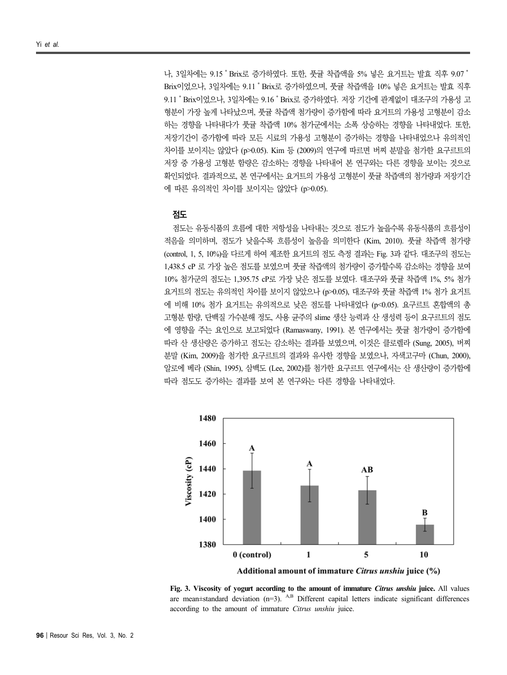나, 3일차에는 9.15˚Brix로 증가하였다. 또한, 풋귤 착즙액을 5% 넣은 요거트는 발효 직후 9.07˚ Brix이었으나, 3일차에는 9.11˚Brix로 증가하였으며, 풋귤 착즙액을 10% 넣은 요거트는 발효 직후 9.11˚Brix이었으나, 3일차에는 9.16˚Brix로 증가하였다. 저장 기간에 관계없이 대조구의 가용성 고 형분이 가장 높게 나타났으며, 풋귤 착즙액 첨가량이 증가함에 따라 요거트의 가용성 고형분이 감소 하는 경향을 나타내다가 풋귤 착즙액 10% 첨가군에서는 소폭 상승하는 경향을 나타내었다. 또한, 저장기간이 증가함에 따라 모든 시료의 가용성 고형분이 증가하는 경향을 나타내었으나 유의적인 차이를 보이지는 않았다 (p>0.05). Kim 등 (2009)의 연구에 따르면 버찌 분말을 첨가한 요구르트의 저장 중 가용성 고형분 함량은 감소하는 경향을 나타내어 본 연구와는 다른 경향을 보이는 것으로 확인되었다. 결과적으로, 본 연구에서는 요거트의 가용성 고형분이 풋귤 착즙액의 첨가량과 저장기간 에 따른 유의적인 차이를 보이지는 않았다 (p>0.05).

#### **점도**

점도는 유동식품의 흐름에 대한 저항성을 나타내는 것으로 점도가 높을수록 유동식품의 흐름성이 적음을 의미하며, 점도가 낮을수록 흐름성이 높음을 의미한다 (Kim, 2010). 풋귤 착즙액 첨가량 (control, 1, 5, 10%)을 다르게 하여 제조한 요거트의 점도 측정 결과는 Fig. 3과 같다. 대조구의 점도는 1,438.5 cP 로 가장 높은 점도를 보였으며 풋귤 착즙액의 첨가량이 증가할수록 감소하는 경향을 보여 10% 첨가군의 점도는 1,395.75 cP로 가장 낮은 점도를 보였다. 대조구와 풋귤 착즙액 1%, 5% 첨가 요거트의 점도는 유의적인 차이를 보이지 않았으나 (p>0.05), 대조구와 풋귤 착즙액 1% 첨가 요거트 에 비해 10% 첨가 요거트는 유의적으로 낮은 점도를 나타내었다 (p<0.05). 요구르트 혼합액의 총 고형분 함량, 단백질 가수분해 정도, 사용 균주의 slime 생산 능력과 산 생성력 등이 요구르트의 점도 에 영향을 주는 요인으로 보고되었다 (Ramaswany, 1991). 본 연구에서는 풋귤 첨가량이 증가함에 따라 산 생산량은 증가하고 점도는 감소하는 결과를 보였으며, 이것은 클로렐라 (Sung, 2005), 버찌 분말 (Kim, 2009)을 첨가한 요구르트의 결과와 유사한 경향을 보였으나, 자색고구마 (Chun, 2000), 알로에 베라 (Shin, 1995), 삼백도 (Lee, 2002)를 첨가한 요구르트 연구에서는 산 생산량이 증가함에 따라 점도도 증가하는 결과를 보여 본 연구와는 다른 경향을 나타내었다.



Additional amount of immature Citrus unshiu juice (%)

**Fig. 3. Viscosity of yogurt according to the amount of immature** *Citrus unshiu* **juice. All values are mean** $\pm$ **standard deviation (n=3). A,B Different capital letters indicate significant differences** according to the amount of immature *Citrus unshiu* juice.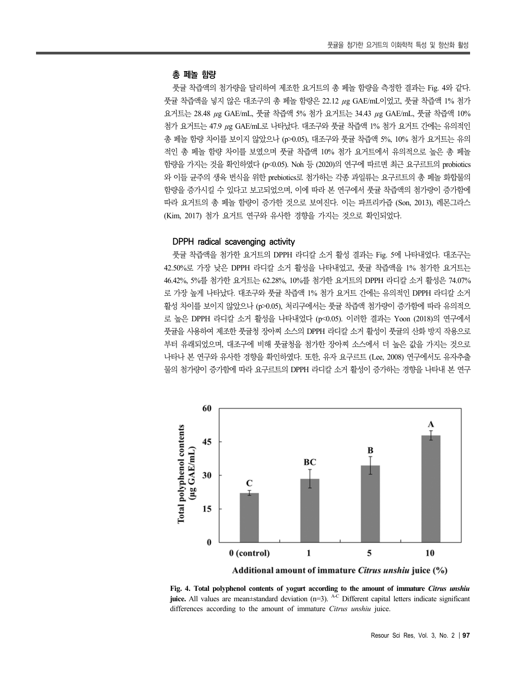#### **총 페놀 함량**

풋귤 착즙액의 첨가량을 달리하여 제조한 요거트의 총 페놀 함량을 측정한 결과는 Fig. 4와 같다. 풋귤 착즙액을 넣지 않은 대조구의 총 페놀 함량은 22.12 μg GAE/mL이었고, 풋귤 착즙액 1% 첨가 요거트는 28.48 μg GAE/mL, 풋귤 착즙액 5% 첨가 요거트는 34.43 μg GAE/mL, 풋귤 착즙액 10% 첨가 요거트는 47.9 μg GAE/mL로 나타났다. 대조구와 풋귤 착즙액 1% 첨가 요거트 간에는 유의적인 총 페놀 함량 차이를 보이지 않았으나 (p>0.05), 대조구와 풋귤 착즙액 5%, 10% 첨가 요거트는 유의 적인 총 페놀 함량 차이를 보였으며 풋귤 착즙액 10% 첨가 요거트에서 유의적으로 높은 총 페놀 함량을 가지는 것을 확인하였다 (p<0.05). Noh 등 (2020)의 연구에 따르면 최근 요구르트의 probiotics 와 이들 균주의 생육 번식을 위한 prebiotics로 첨가하는 각종 과일류는 요구르트의 총 페놀 화합물의 함량을 증가시킬 수 있다고 보고되었으며, 이에 따라 본 연구에서 풋귤 착즙액의 첨가량이 증가함에 따라 요거트의 총 페놀 함량이 증가한 것으로 보여진다. 이는 파프리카즙 (Son, 2013), 레몬그라스 (Kim, 2017) 첨가 요거트 연구와 유사한 경향을 가지는 것으로 확인되었다.

#### **DPPH radical scavenging activity**

풋귤 착즙액을 첨가한 요거트의 DPPH 라디칼 소거 활성 결과는 Fig. 5에 나타내었다. 대조구는 42.50%로 가장 낮은 DPPH 라디칼 소거 활성을 나타내었고, 풋귤 착즙액을 1% 첨가한 요거트는 46.42%, 5%를 첨가한 요거트는 62.28%, 10%를 첨가한 요거트의 DPPH 라디칼 소거 활성은 74.07% 로 가장 높게 나타났다. 대조구와 풋귤 착즙액 1% 첨가 요거트 간에는 유의적인 DPPH 라디칼 소거 활성 차이를 보이지 않았으나 (p>0.05), 처리구에서는 풋귤 착즙액 첨가량이 증가함에 따라 유의적으 로 높은 DPPH 라디칼 소거 활성을 나타내었다 (p<0.05). 이러한 결과는 Yoon (2018)의 연구에서 풋귤을 사용하여 제조한 풋귤청 장아찌 소스의 DPPH 라디칼 소거 활성이 풋귤의 산화 방지 작용으로 부터 유래되었으며, 대조구에 비해 풋귤청을 첨가한 장아찌 소스에서 더 높은 값을 가지는 것으로 나타나 본 연구와 유사한 경향을 확인하였다. 또한, 유자 요구르트 (Lee, 2008) 연구에서도 유자추출 물의 첨가량이 증가함에 따라 요구르트의 DPPH 라디칼 소거 활성이 증가하는 경향을 나타내 본 연구



**Fig. 4. Total polyphenol contents of yogurt according to the amount of immature** *Citrus unshiu* **juice.** All values are mean±standard deviation (n=3). <sup>A-C</sup> Different capital letters indicate significant differences according to the amount of immature *Citrus unshiu* juice.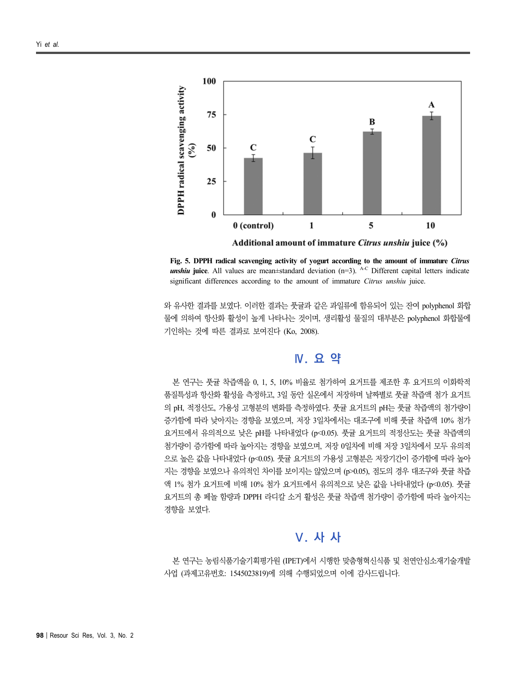

**Fig. 5. DPPH radical scavenging activity of yogurt according to the amount of immature** *Citrus unshiu* juice. All values are mean±standard deviation (n=3). <sup>A-C</sup> Different capital letters indicate significant differences according to the amount of immature *Citrus unshiu* juice.

와 유사한 결과를 보였다. 이러한 결과는 풋귤과 같은 과일류에 함유되어 있는 잔여 polyphenol 화합 물에 의하여 항산화 활성이 높게 나타나는 것이며, 생리활성 물질의 대부분은 polyphenol 화합물에 기인하는 것에 따른 결과로 보여진다 (Ko, 2008).

# **Ⅳ. 요 약**

본 연구는 풋귤 착즙액을 0, 1, 5, 10% 비율로 첨가하여 요거트를 제조한 후 요거트의 이화학적 품질특성과 항산화 활성을 측정하고, 3일 동안 실온에서 저장하며 날짜별로 풋귤 착즙액 첨가 요거트 의 pH, 적정산도, 가용성 고형분의 변화를 측정하였다. 풋귤 요거트의 pH는 풋귤 착즙액의 첨가량이 증가함에 따라 낮아지는 경향을 보였으며, 저장 3일차에서는 대조구에 비해 풋귤 착즙액 10% 첨가 요거트에서 유의적으로 낮은 pH를 나타내었다 (p<0.05). 풋귤 요거트의 적정산도는 풋귤 착즙액의 첨가량이 증가함에 따라 높아지는 경향을 보였으며, 저장 0일차에 비해 저장 3일차에서 모두 유의적 으로 높은 값을 나타내었다 (p<0.05). 풋귤 요거트의 가용성 고형분은 저장기간이 증가함에 따라 높아 지는 경향을 보였으나 유의적인 차이를 보이지는 않았으며 (p>0.05), 점도의 경우 대조구와 풋귤 착즙 액 1% 첨가 요거트에 비해 10% 첨가 요거트에서 유의적으로 낮은 값을 나타내었다 (p<0.05). 풋귤 요거트의 총 페놀 함량과 DPPH 라디칼 소거 활성은 풋귤 착즙액 첨가량이 증가함에 따라 높아지는 경향을 보였다.

### **Ⅴ. 사 사**

본 연구는 농림식품기술기획평가원 (IPET)에서 시행한 맞춤형혁신식품 및 천연안심소재기술개발 사업 (과제고유번호: 1545023819)에 의해 수행되었으며 이에 감사드립니다.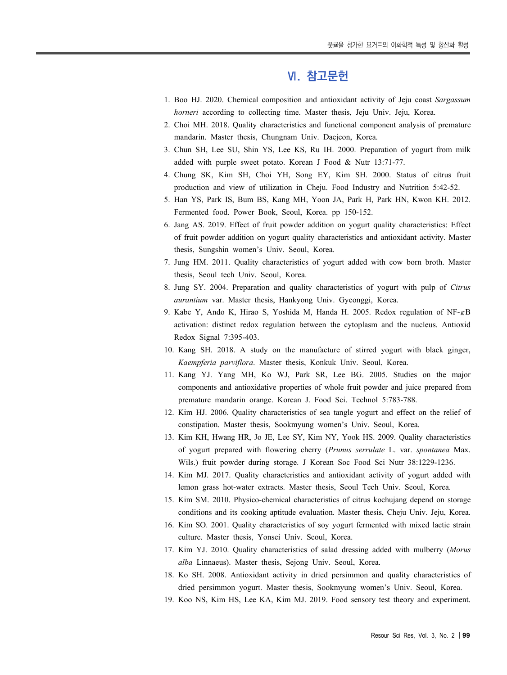## **Ⅵ. 참고문헌**

- 1. Boo HJ. 2020. Chemical composition and antioxidant activity of Jeju coast *Sargassum horneri* according to collecting time. Master thesis, Jeju Univ. Jeju, Korea.
- 2. Choi MH. 2018. Quality characteristics and functional component analysis of premature mandarin. Master thesis, Chungnam Univ. Daejeon, Korea.
- 3. Chun SH, Lee SU, Shin YS, Lee KS, Ru IH. 2000. Preparation of yogurt from milk added with purple sweet potato. Korean J Food & Nutr 13:71-77.
- 4. Chung SK, Kim SH, Choi YH, Song EY, Kim SH. 2000. Status of citrus fruit production and view of utilization in Cheju. Food Industry and Nutrition 5:42-52.
- 5. Han YS, Park IS, Bum BS, Kang MH, Yoon JA, Park H, Park HN, Kwon KH. 2012. Fermented food. Power Book, Seoul, Korea. pp 150-152.
- 6. Jang AS. 2019. Effect of fruit powder addition on yogurt quality characteristics: Effect of fruit powder addition on yogurt quality characteristics and antioxidant activity. Master thesis, Sungshin women's Univ. Seoul, Korea.
- 7. Jung HM. 2011. Quality characteristics of yogurt added with cow born broth. Master thesis, Seoul tech Univ. Seoul, Korea.
- 8. Jung SY. 2004. Preparation and quality characteristics of yogurt with pulp of *Citrus aurantium* var. Master thesis, Hankyong Univ. Gyeonggi, Korea.
- 9. Kabe Y, Ando K, Hirao S, Yoshida M, Handa H. 2005. Redox regulation of NF-κB activation: distinct redox regulation between the cytoplasm and the nucleus. Antioxid Redox Signal 7:395-403.
- 10. Kang SH. 2018. A study on the manufacture of stirred yogurt with black ginger, *Kaempferia parviflora*. Master thesis, Konkuk Univ. Seoul, Korea.
- 11. Kang YJ. Yang MH, Ko WJ, Park SR, Lee BG. 2005. Studies on the major components and antioxidative properties of whole fruit powder and juice prepared from premature mandarin orange. Korean J. Food Sci. Technol 5:783-788.
- 12. Kim HJ. 2006. Quality characteristics of sea tangle yogurt and effect on the relief of constipation. Master thesis, Sookmyung women's Univ. Seoul, Korea.
- 13. Kim KH, Hwang HR, Jo JE, Lee SY, Kim NY, Yook HS. 2009. Quality characteristics of yogurt prepared with flowering cherry (*Prunus serrulate* L. var. *spontanea* Max. Wils.) fruit powder during storage. J Korean Soc Food Sci Nutr 38:1229-1236.
- 14. Kim MJ. 2017. Quality characteristics and antioxidant activity of yogurt added with lemon grass hot-water extracts. Master thesis, Seoul Tech Univ. Seoul, Korea.
- 15. Kim SM. 2010. Physico-chemical characteristics of citrus kochujang depend on storage conditions and its cooking aptitude evaluation. Master thesis, Cheju Univ. Jeju, Korea.
- 16. Kim SO. 2001. Quality characteristics of soy yogurt fermented with mixed lactic strain culture. Master thesis, Yonsei Univ. Seoul, Korea.
- 17. Kim YJ. 2010. Quality characteristics of salad dressing added with mulberry (*Morus alba* Linnaeus). Master thesis, Sejong Univ. Seoul, Korea.
- 18. Ko SH. 2008. Antioxidant activity in dried persimmon and quality characteristics of dried persimmon yogurt. Master thesis, Sookmyung women's Univ. Seoul, Korea.
- 19. Koo NS, Kim HS, Lee KA, Kim MJ. 2019. Food sensory test theory and experiment.